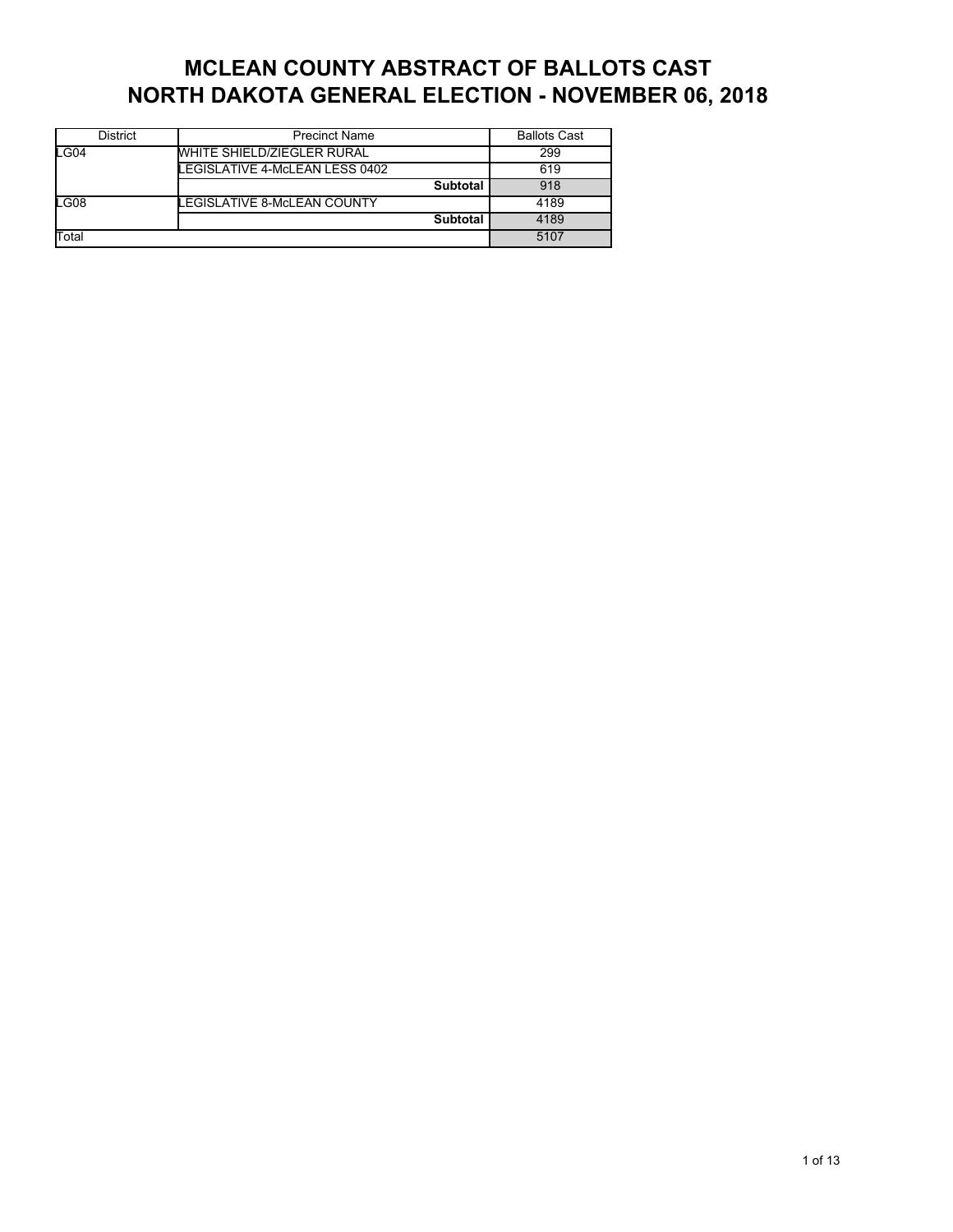## **MCLEAN COUNTY ABSTRACT OF BALLOTS CAST NORTH DAKOTA GENERAL ELECTION - NOVEMBER 06, 2018**

| <b>District</b> | <b>Precinct Name</b>              | <b>Ballots Cast</b> |
|-----------------|-----------------------------------|---------------------|
| LG04            | <b>WHITE SHIELD/ZIEGLER RURAL</b> | 299                 |
|                 | LEGISLATIVE 4-McLEAN LESS 0402    | 619                 |
|                 | <b>Subtotal</b>                   | 918                 |
| LG08            | LEGISLATIVE 8-McLEAN COUNTY       | 4189                |
|                 | <b>Subtotal</b>                   | 4189                |
| Total           |                                   | 5107                |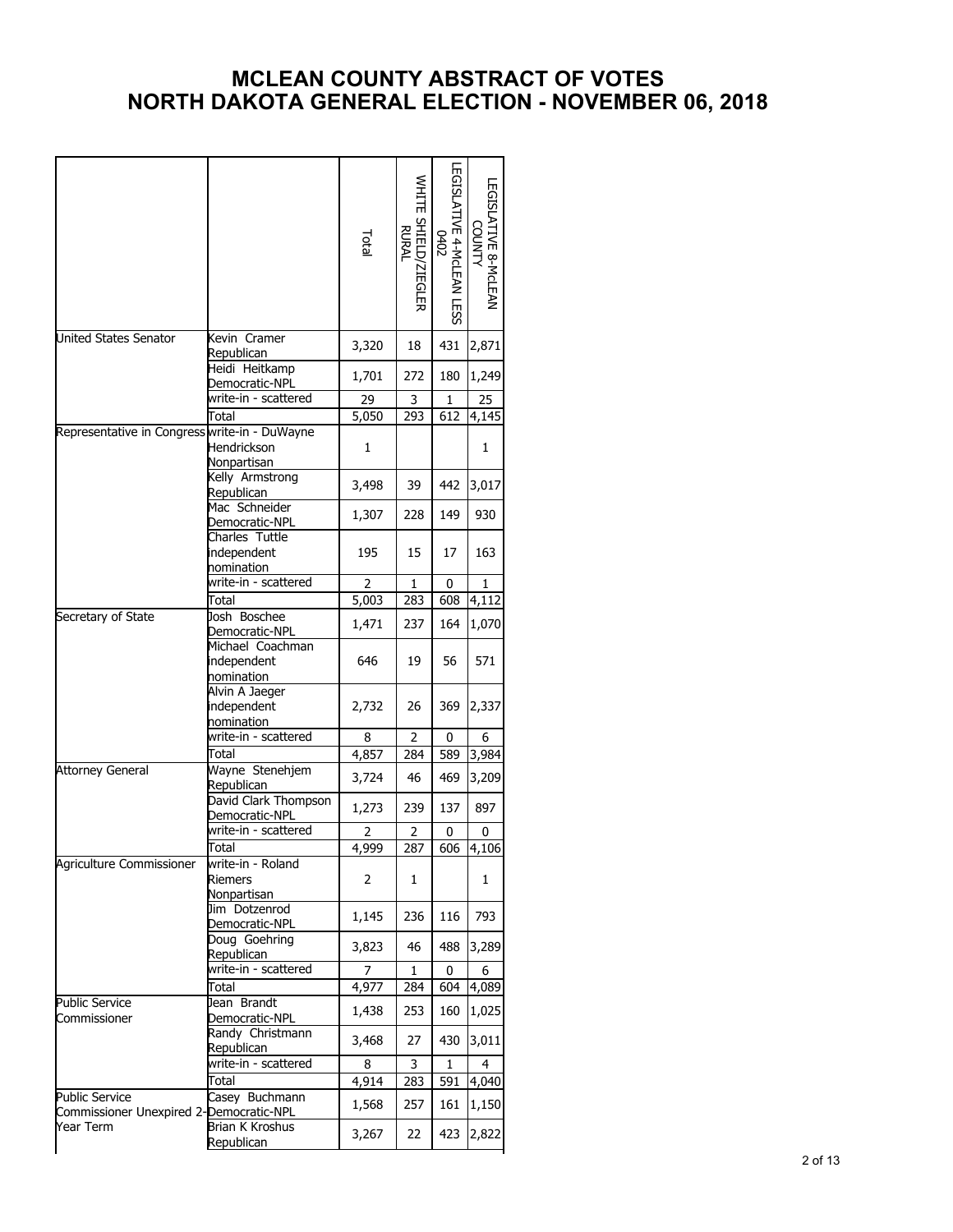## **MCLEAN COUNTY ABSTRACT OF VOTES NORTH DAKOTA GENERAL ELECTION - NOVEMBER 06, 2018**

|                                                                  |                                                    | Total             | WHITE SHIELD/ZIEGLER<br>RURAL | EGISLATIVE 4-McLEAN LESS<br><b>O402</b> | LEGISLATIVE 8-McLEAN<br><b>COUNTY</b> |
|------------------------------------------------------------------|----------------------------------------------------|-------------------|-------------------------------|-----------------------------------------|---------------------------------------|
| United States Senator                                            | Kevin Cramer<br>Republican                         | 3,320             | 18                            | 431                                     | 2,871                                 |
|                                                                  | Heidi Heitkamp<br>Democratic-NPL                   | 1,701             | 272                           | 180                                     | 1,249                                 |
|                                                                  | write-in - scattered                               | 29                | 3                             | 1                                       | 25                                    |
|                                                                  | Total                                              | 5,050             | 293                           | 612                                     | 4,145                                 |
| Representative in Congress write-in - DuWayne                    | Hendrickson<br>Nonpartisan                         | 1                 |                               |                                         | 1                                     |
|                                                                  | Kelly Armstrong<br>Republican                      | 3,498             | 39                            | 442                                     | 3,017                                 |
|                                                                  | Mac Schneider<br><u> Democratic-NPL</u>            | 1,307             | 228                           | 149                                     | 930                                   |
|                                                                  | Charles Tuttle<br>independent<br><u>nomination</u> | 195               | 15                            | 17                                      | 163                                   |
|                                                                  | write-in - scattered                               | $\overline{2}$    | 1                             | 0                                       | 1                                     |
|                                                                  | Total                                              | 5,003             | 283                           | 608                                     | 4,112                                 |
| Secretary of State                                               | Josh Boschee<br>Democratic-NPL                     | 1,471             | 237                           | 164                                     | 1,070                                 |
|                                                                  | Michael Coachman<br>independent<br>nomination      | 646               | 19                            | 56                                      | 571                                   |
|                                                                  | Alvin A Jaeger<br>independent<br>nomination        | 2,732             | 26                            | 369                                     | 2,337                                 |
|                                                                  | write-in - scattered                               | 8                 | 2                             | 0                                       | 6                                     |
|                                                                  | Total                                              | 4,857             | 284                           | 589                                     | 3,984                                 |
| <b>Attorney General</b>                                          | Wayne Stenehjem<br>Republican                      | 3,724             | 46                            | 469                                     | 3,209                                 |
|                                                                  | David Clark Thompson<br>Democratic-NPL             | 1,273             | 239                           | 137                                     | 897                                   |
|                                                                  | write-in - scattered                               | 2                 | 2                             | 0                                       | 0                                     |
|                                                                  | Total                                              | 4,999             | 287                           | 606                                     | 4,106                                 |
| Agriculture Commissioner                                         | write-in - Roland<br>Riemers<br>Nonpartisan        | 2                 | 1                             |                                         | 1                                     |
|                                                                  | Jim Dotzenrod<br>Democratic-NPL                    | 1,145             | 236                           | 116                                     | 793                                   |
|                                                                  | Doug Goehring<br>Republican                        | 3,823             | 46                            | 488                                     | 3,289                                 |
|                                                                  | write-in - scattered                               | 7                 | 1                             | 0                                       | 6                                     |
|                                                                  | Total                                              | 4,977             | 284                           | 604                                     | 4,089                                 |
| Public Service<br>Commissioner                                   | Jean Brandt<br>Democratic-NPL                      | 1,438             | 253                           | 160                                     | 1,025                                 |
|                                                                  | Randy Christmann<br>Republican                     | 3,468             | 27                            | 430                                     | 3,011                                 |
|                                                                  | write-in - scattered                               | 8                 | 3                             | 1                                       | 4                                     |
|                                                                  | Total                                              | $\frac{1}{4,914}$ | 283                           | 591                                     | 4,040                                 |
| <b>Public Service</b><br>Commissioner Unexpired 2-Democratic-NPL | Casey Buchmann                                     | 1,568             | 257                           | 161                                     | 1,150                                 |
| Year Term                                                        | Brian K Kroshus<br>Republican                      | 3,267             | 22                            | 423                                     | 2,822                                 |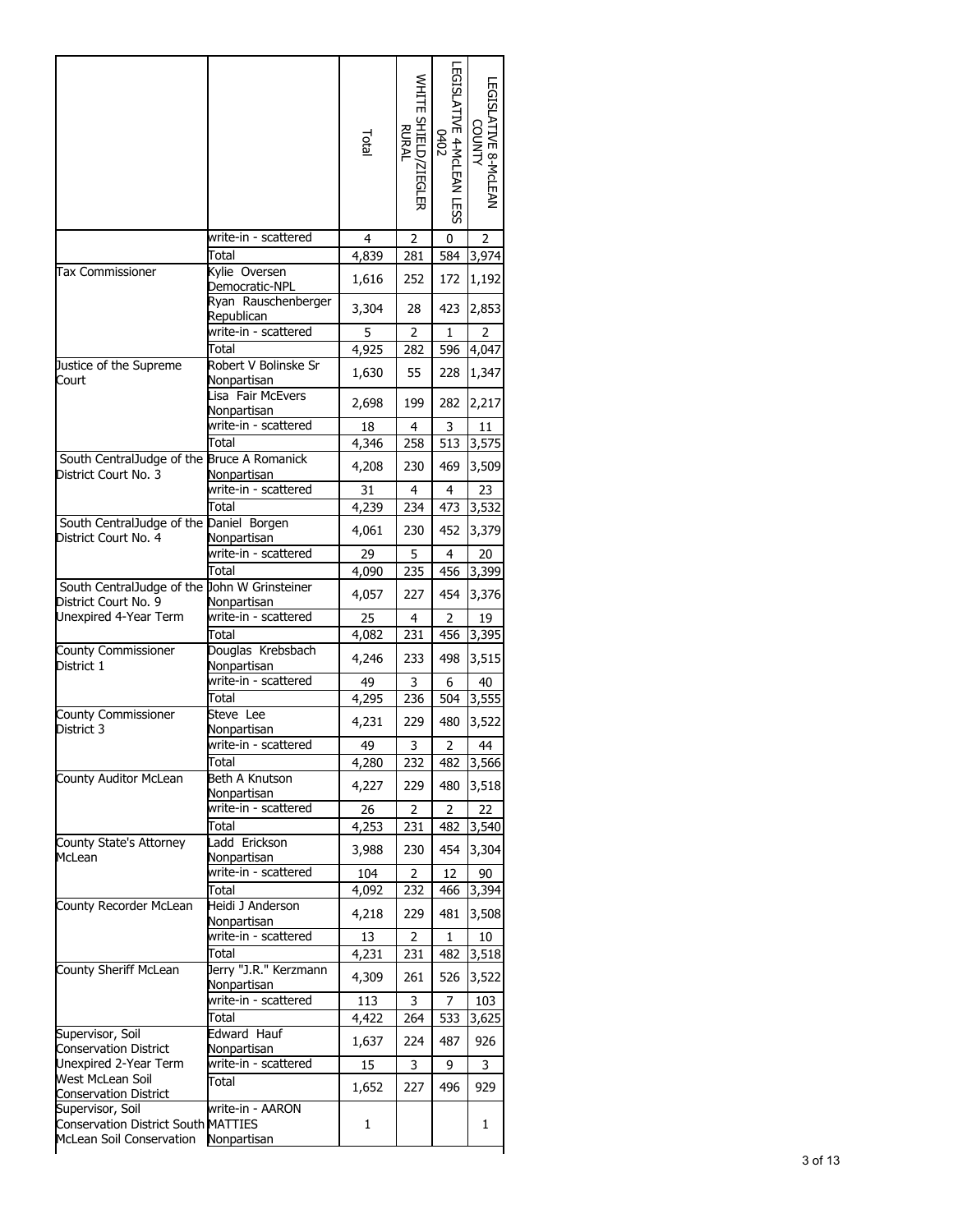|                                                                      |                                                           | Total        | WHITE SHIELD/ZIEGLER<br>RURAL | EGISLATIVE 4-McLEAN LESS<br><b>COHO</b> | LEGISLATIVE 8-McLEAN<br>COUNTY |
|----------------------------------------------------------------------|-----------------------------------------------------------|--------------|-------------------------------|-----------------------------------------|--------------------------------|
|                                                                      | write-in - scattered                                      | 4            | 2                             | 0                                       | 2                              |
|                                                                      | Total                                                     | 4,839        | 281                           | 584                                     | 3,974                          |
| <b>Tax Commissioner</b>                                              | Kylie Oversen<br>Democratic-NPL                           | 1,616        | 252                           | 172                                     | 1,192                          |
|                                                                      | Ryan Rauschenberger<br>Republican<br>write-in - scattered | 3,304        | 28                            | 423                                     | 2,853                          |
|                                                                      | Total                                                     | 5<br>4,925   | 2<br>282                      | 1<br>596                                | 2<br>4,047                     |
| Justice of the Supreme                                               | Robert V Bolinske Sr                                      |              |                               |                                         |                                |
| Court                                                                | Nonpartisan<br>Lisa Fair McEvers                          | 1,630        | 55                            | 228                                     | 1,347                          |
|                                                                      | Nonpartisan<br>write-in - scattered                       | 2,698<br>18  | 199<br>4                      | 282<br>3                                | 2,217<br>11                    |
|                                                                      | Total                                                     | 4,346        | 258                           | 513                                     | 3,575                          |
| South CentralJudge of the Bruce A Romanick<br>District Court No. 3   | Nonpartisan                                               | 4,208        | 230                           | 469                                     | 3,509                          |
|                                                                      | write-in - scattered                                      | 31           | 4                             | 4                                       | 23                             |
|                                                                      | Total                                                     | 4,239        | 234                           | 473                                     | 3,532                          |
| South CentralJudge of the Daniel Borgen<br>District Court No. 4      | Nonpartisan                                               | 4,061        | 230                           | 452                                     | 3,379                          |
|                                                                      | write-in - scattered                                      | 29           | 5                             | 4                                       | 20                             |
|                                                                      | Total                                                     | 4,090        | 235                           | 456                                     | 3,399                          |
| South CentralJudge of the John W Grinsteiner<br>District Court No. 9 | Nonpartisan                                               | 4,057        | 227                           | 454                                     | 3,376                          |
| Unexpired 4-Year Term                                                | write-in - scattered                                      | 25           | 4                             | 2                                       | 19                             |
|                                                                      | Total                                                     | 4,082        | 231                           | 456                                     | 3,395                          |
| County Commissioner<br>District 1                                    | Douglas Krebsbach<br>Nonpartisan                          | 4,246        | 233                           | 498                                     | 3,515                          |
|                                                                      | write-in - scattered                                      | 49           | 3                             | 6                                       | 40                             |
|                                                                      | Total                                                     | 4,295        | 236                           | 504                                     | 3,555                          |
| County Commissioner<br>District 3                                    | Steve Lee<br>Nonpartisan                                  | 4,231        | 229                           | 480                                     | 3,522                          |
|                                                                      | write-in - scattered                                      | 49           | 3                             | 2                                       | 44                             |
|                                                                      | Total                                                     | 4,280        | 232                           | 482                                     | 3,566                          |
| County Auditor McLean                                                | Beth A Knutson<br>Nonpartisan                             | 4,227        | 229                           | 480                                     | 3,518                          |
|                                                                      | write-in - scattered                                      | 26           | 2                             | $\overline{2}$                          | 22                             |
| County State's Attorney                                              | Total<br>Ladd Erickson                                    | 4,253        | 231                           | 482                                     | $\overline{3}$ ,540            |
| McLean                                                               | Nonpartisan                                               | 3,988        | 230                           | 454                                     | 3,304                          |
|                                                                      | write-in - scattered                                      | 104          | 2                             | 12                                      | 90                             |
|                                                                      | Total                                                     | 4,092        | 232                           | 466                                     | 3,394                          |
| County Recorder McLean                                               | Heidi J Anderson<br>Nonpartisan                           | 4,218        | 229                           | 481                                     | 3,508                          |
|                                                                      | write-in - scattered                                      | 13           | 2                             | 1                                       | 10                             |
|                                                                      | Total                                                     | 4,231        | 231                           | 482                                     | 3,518                          |
| County Sheriff McLean                                                | Jerry "J.R." Kerzmann<br>Nonpartisan                      | 4,309        | 261                           | 526                                     | 3,522                          |
|                                                                      | write-in - scattered<br>Total                             | 113<br>4,422 | 3<br>264                      | 7<br>533                                | 103<br>3,625                   |
| Supervisor, Soil                                                     | Edward Hauf                                               | 1,637        | 224                           | 487                                     | 926                            |
| <b>Conservation District</b><br>Unexpired 2-Year Term                | Nonpartisan<br>write-in - scattered                       | 15           | 3                             | 9                                       | 3                              |
| West McLean Soil<br><b>Conservation District</b>                     | Total                                                     | 1,652        | 227                           | 496                                     | 929                            |
| Supervisor, Soil                                                     |                                                           |              |                               |                                         |                                |
| <b>Conservation District South MATTIES</b>                           | write-in - AARON                                          | 1            |                               |                                         | 1                              |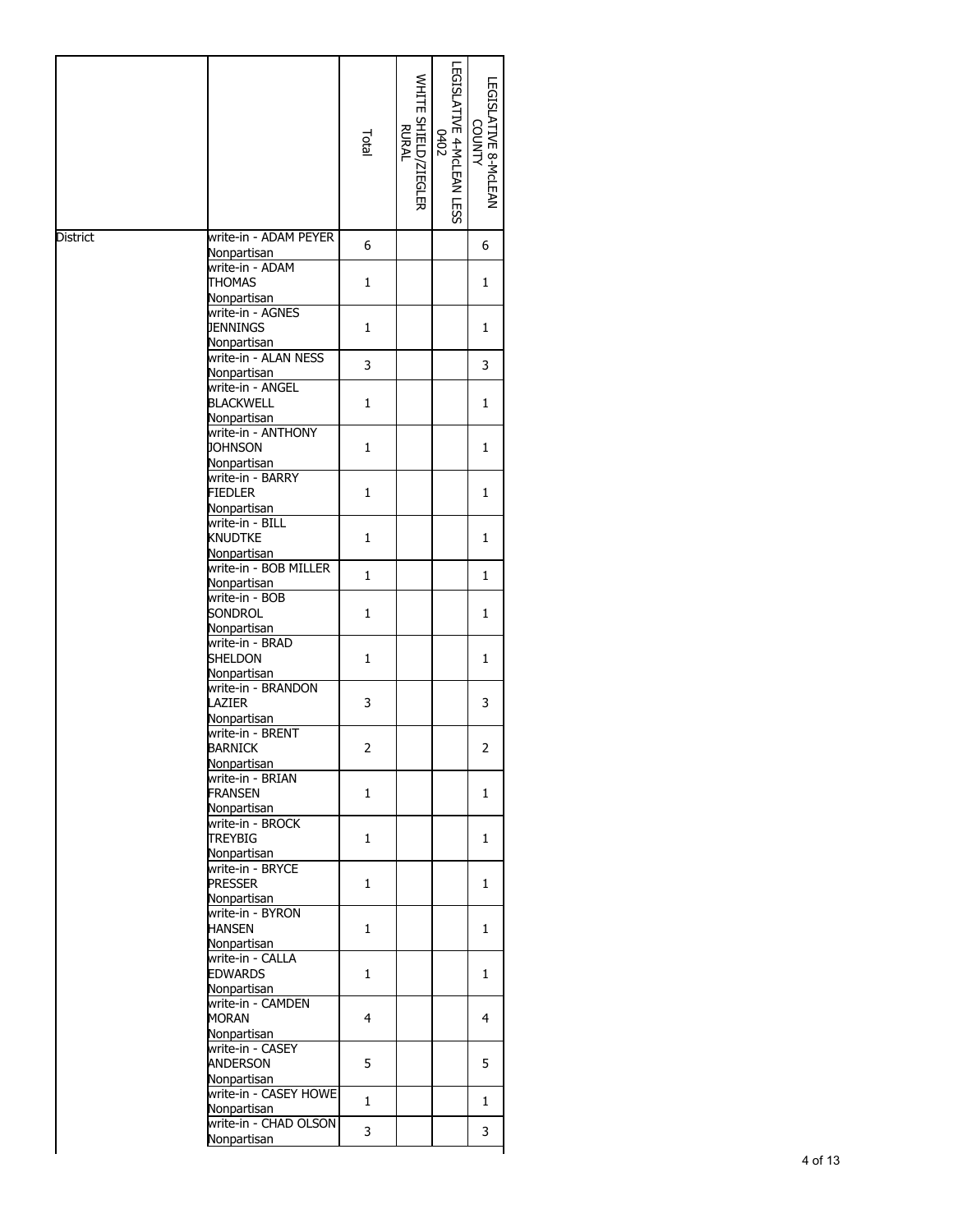|          |                                                                    | Total        | WHITE SHIELD/ZIEGLER<br>RURAL | LEGISLATIVE 8-MCLEAN<br><b>COUNTY</b> |
|----------|--------------------------------------------------------------------|--------------|-------------------------------|---------------------------------------|
| District | write-in - ADAM PEYER                                              | 6            |                               | 6                                     |
|          | Nonpartisan<br>write-in - ADAM<br><b>THOMAS</b><br>Nonpartisan     | 1            |                               | 1                                     |
|          | write-in - AGNES<br><b>JENNINGS</b><br>Nonpartisan                 | 1            |                               | 1                                     |
|          | write-in - ALAN NESS                                               | 3            |                               | 3                                     |
|          | Nonpartisan<br>write-in - ANGEL<br><b>BLACKWELL</b><br>Nonpartisan | 1            |                               | 1                                     |
|          | write-in - ANTHONY<br><b>JOHNSON</b><br>Nonpartisan                | 1            |                               | 1                                     |
|          | write-in - BARRY<br><b>FIEDLER</b><br>Nonpartisan                  | 1            |                               | 1                                     |
|          | write-in - BILL<br>KNUDTKE<br>Nonpartisan                          | 1            |                               | 1                                     |
|          | write-in - BOB MILLER<br>Nonpartisan                               | 1            |                               | 1                                     |
|          | write-in - BOB<br>SONDROL<br>Nonpartisan                           | 1            |                               | 1                                     |
|          | write-in - BRAD<br>SHELDON<br>Nonpartisan                          | $\mathbf{1}$ |                               | $\mathbf{1}$                          |
|          | write-in - BRANDON<br>LAZIER<br>Nonpartisan                        | 3            |                               | 3                                     |
|          | write-in - BRENT<br><b>BARNICK</b><br>Nonpartisan                  | 2            |                               | 2                                     |
|          | write-in - BRIAN<br><b>FRANSEN</b><br>Nonpartisan                  | 1            |                               | 1                                     |
|          | write-in - BROCK<br><b>TREYBIG</b><br>Nonpartisan                  | 1            |                               | 1                                     |
|          | write-in - BRYCE<br><b>PRESSER</b><br>Nonpartisan                  | 1            |                               | 1                                     |
|          | write-in - BYRON<br><b>HANSEN</b><br>Nonpartisan                   | 1            |                               | 1                                     |
|          | write-in - CALLA<br><b>EDWARDS</b>                                 | 1            |                               | 1                                     |
|          | Nonpartisan<br>write-in - CAMDEN<br>MORAN<br>Nonpartisan           | 4            |                               | 4                                     |
|          | write-in - CASEY<br>ANDERSON<br>Nonpartisan                        | 5            |                               | 5                                     |
|          | write-in - CASEY HOWE<br>Nonpartisan                               | 1            |                               | 1                                     |
|          | write-in - CHAD OLSON<br>Nonpartisan                               | 3            |                               | 3                                     |
|          |                                                                    |              |                               |                                       |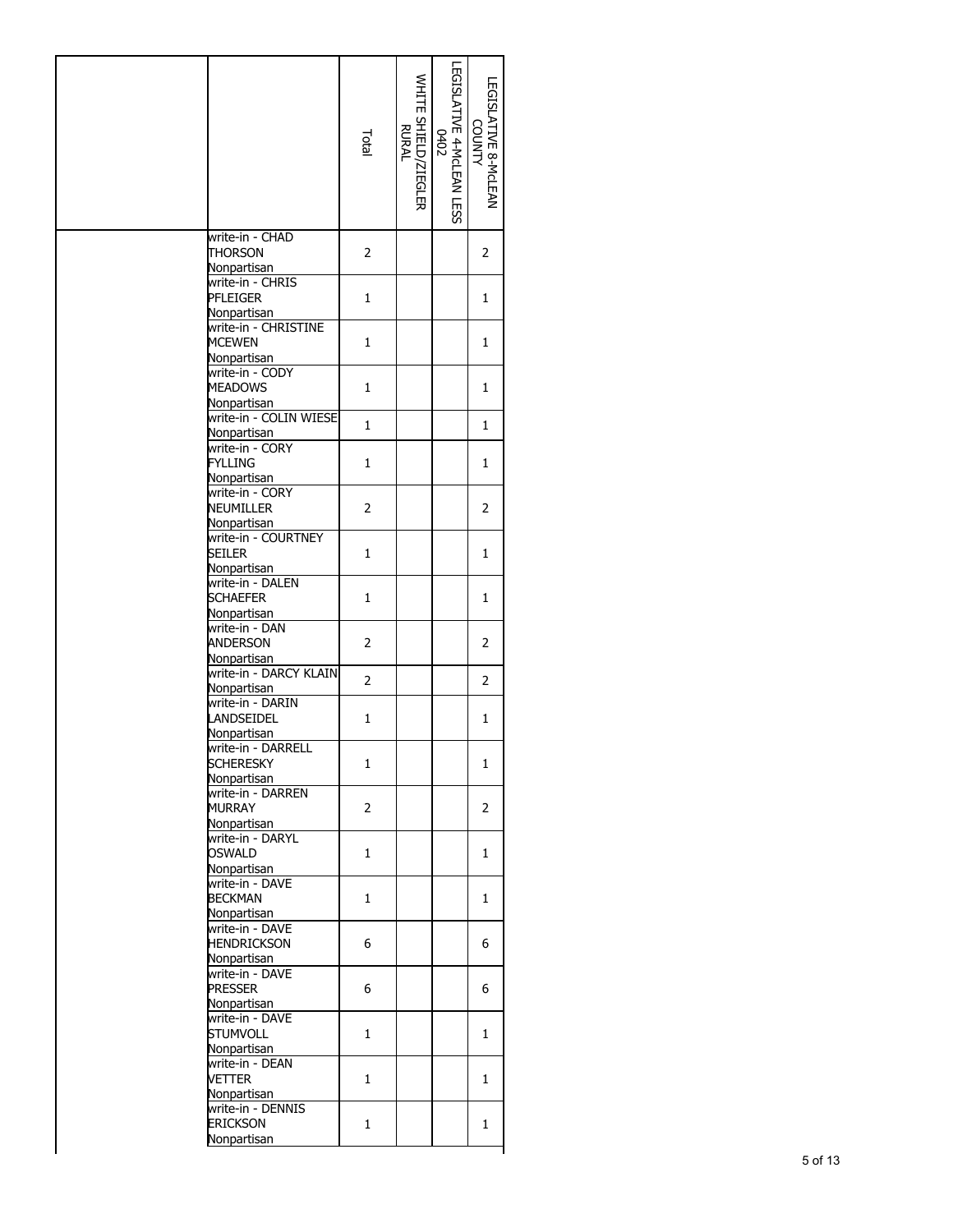|                                                              | Total          | WHITE SHIELD/ZIEGLER<br>RURAL | LEGISLATIVE 8-MCLEAN<br><b>VTMUO</b> |
|--------------------------------------------------------------|----------------|-------------------------------|--------------------------------------|
| write-in - CHAD<br><b>THORSON</b><br>Nonpartisan             | 2              |                               | 2                                    |
| write-in - CHRIS<br>PFLEIGER<br>Nonpartisan                  | $\mathbf{1}$   |                               | $\mathbf{1}$                         |
| write-in - CHRISTINE<br><b>MCEWEN</b>                        | 1              |                               | 1                                    |
| Nonpartisan<br>write-in - CODY<br><b>MEADOWS</b>             | 1              |                               | 1                                    |
| Nonpartisan<br>write-in - COLIN WIESE<br>Nonpartisan         | $\mathbf{1}$   |                               | 1                                    |
| write-in - CORY<br><b>FYLLING</b><br>Nonpartisan             | $\mathbf{1}$   |                               | 1                                    |
| write-in - CORY<br>NEUMILLER<br>Nonpartisan                  | 2              |                               | 2                                    |
| write-in - COURTNEY<br>seiler<br>Nonpartisan                 | 1              |                               | 1                                    |
| write-in - DALEN<br><b>SCHAEFER</b><br>Nonpartisan           | $\mathbf{1}$   |                               | 1                                    |
| write-in - DAN<br>ANDERSON                                   | 2              |                               | 2                                    |
| Nonpartisan<br>write-in - DARCY KLAIN                        | $\overline{2}$ |                               | $\overline{2}$                       |
| Nonpartisan<br>write-in - DARIN<br>LANDSEIDEL<br>Nonpartisan | $\mathbf{1}$   |                               | 1                                    |
| write-in - DARRELL<br><b>SCHERESKY</b><br>Nonpartisan        | 1              |                               | 1                                    |
| write-in - DARREN<br><b>MURRAY</b><br>Nonpartisan            | 2              |                               | 2                                    |
| write-in - DARYL<br><b>OSWALD</b><br>Nonpartisan             | $\mathbf{1}$   |                               | 1                                    |
| write-in - DAVE<br><b>BECKMAN</b>                            | 1              |                               | 1                                    |
| Nonpartisan<br>write-in - DAVE<br><b>HENDRICKSON</b>         | 6              |                               | 6                                    |
| Nonpartisan<br>write-in - DAVE<br>Presser                    | 6              |                               | 6                                    |
| Nonpartisan<br>write-in - DAVE<br><b>STUMVOLL</b>            | $\mathbf{1}$   |                               | 1                                    |
| Nonpartisan<br>write-in - DEAN<br>Vetter                     | 1              |                               | 1                                    |
| Nonpartisan<br>write-in - DENNIS<br>erickson                 | 1              |                               | 1                                    |
| Nonpartisan                                                  |                |                               |                                      |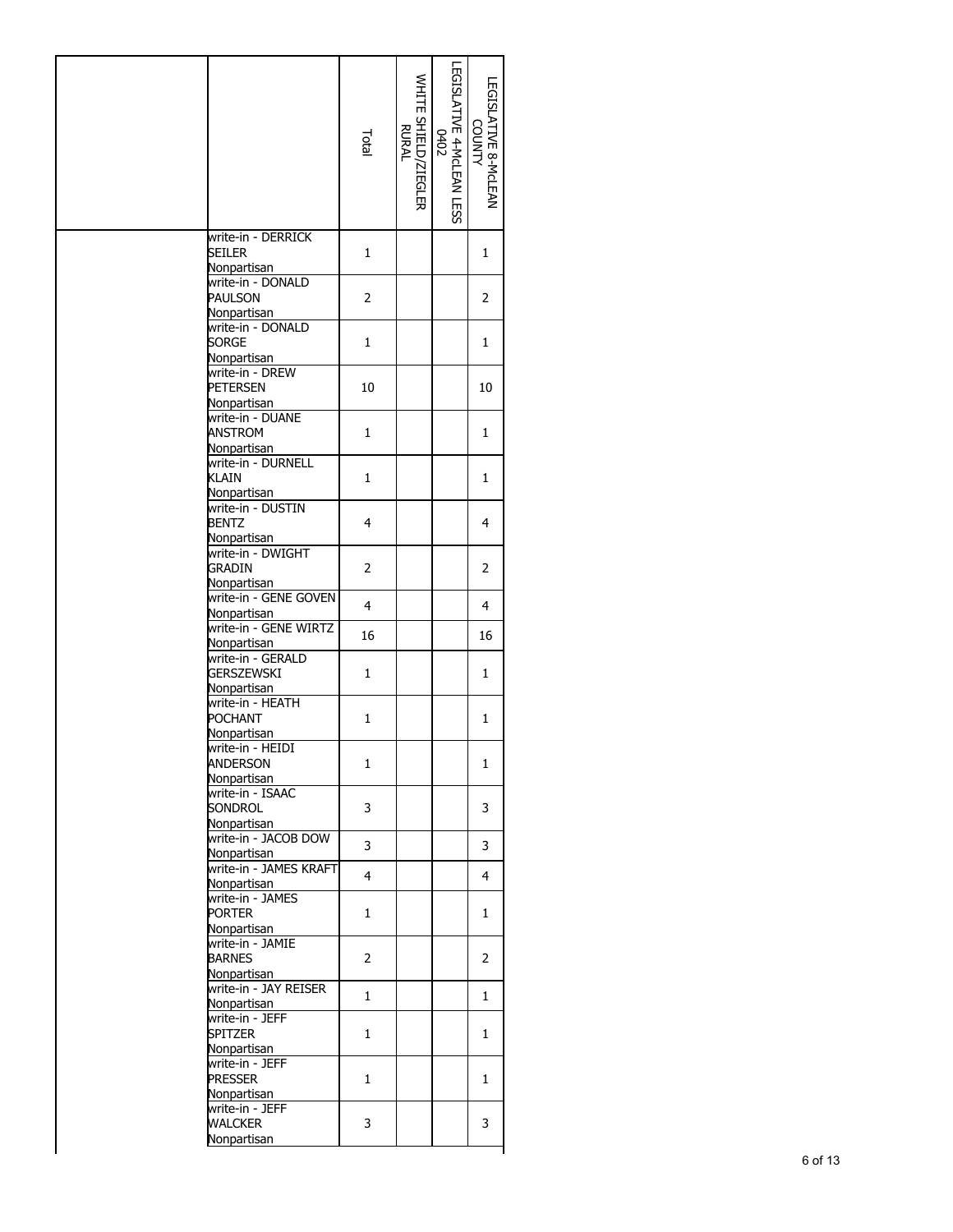| Seiler<br>1<br>1<br>Nonpartisan<br>write-in - DONALD<br>$\overline{2}$<br>PAULSON<br>2<br>Nonpartisan<br>write-in - DONALD<br><b>SORGE</b><br>1<br>1<br>Nonpartisan<br>write-in - DREW<br><b>PETERSEN</b><br>10<br>10<br>Nonpartisan<br>write-in - DUANE<br><b>ANSTROM</b><br>1<br>1<br><b>Nonpartisan</b><br>write-in - DURNELL<br>KLAIN<br>1<br>1<br>Nonpartisan<br>write-in - DUSTIN<br>$\overline{4}$<br><b>BENTZ</b><br>4<br>Nonpartisan<br>write-in - DWIGHT<br><b>GRADIN</b><br>2<br>2<br>Nonpartisan<br>write-in - GENE GOVEN<br>$\overline{4}$<br>4<br>Nonpartisan<br>write-in - GENE WIRTZ<br>16<br>16<br>Nonpartisan<br>write-in - GERALD<br><b>GERSZEWSKI</b><br>1<br>1<br>Nonpartisan<br>write-in - HEATH<br><b>POCHANT</b><br>$\mathbf{1}$<br>$\mathbf{1}$<br>Nonpartisan<br>write-in - HEIDI<br><b>ANDERSON</b><br>1<br>1<br>Nonpartisan<br>write-in - ISAAC<br>SONDROL<br>3<br>3<br>Nonpartisan<br>write-in - JACOB DOW<br>3<br>3<br>Nonpartisan<br>write-in - JAMES KRAFT<br>$\overline{4}$<br>4<br>Nonpartisan<br>write-in - JAMES<br><b>PORTER</b><br>1<br>1<br>Nonpartisan<br>write-in - JAMIE<br><b>BARNES</b><br>2<br>2<br>Nonpartisan<br>write-in - JAY REISER<br>$\mathbf{1}$<br>$\mathbf{1}$<br>Nonpartisan<br>write-in - JEFF<br>Spitzer<br>1<br>1<br>Nonpartisan<br>write-in - JEFF<br><b>PRESSER</b><br>1<br>1<br>Nonpartisan<br>write-in - JEFF<br>WALCKER<br>3<br>3<br>Nonpartisan |                    | Total | WHITE SHIELD/ZIEGLER<br>RURAL | LEGISLATIVE 4-MCLEAN LESS<br>0402<br>0402 | LEGISLATIVE 8-MCLEAN<br>COUNTY |
|------------------------------------------------------------------------------------------------------------------------------------------------------------------------------------------------------------------------------------------------------------------------------------------------------------------------------------------------------------------------------------------------------------------------------------------------------------------------------------------------------------------------------------------------------------------------------------------------------------------------------------------------------------------------------------------------------------------------------------------------------------------------------------------------------------------------------------------------------------------------------------------------------------------------------------------------------------------------------------------------------------------------------------------------------------------------------------------------------------------------------------------------------------------------------------------------------------------------------------------------------------------------------------------------------------------------------------------------------------------------------------------------------------------|--------------------|-------|-------------------------------|-------------------------------------------|--------------------------------|
|                                                                                                                                                                                                                                                                                                                                                                                                                                                                                                                                                                                                                                                                                                                                                                                                                                                                                                                                                                                                                                                                                                                                                                                                                                                                                                                                                                                                                  | write-in - DERRICK |       |                               |                                           |                                |
|                                                                                                                                                                                                                                                                                                                                                                                                                                                                                                                                                                                                                                                                                                                                                                                                                                                                                                                                                                                                                                                                                                                                                                                                                                                                                                                                                                                                                  |                    |       |                               |                                           |                                |
|                                                                                                                                                                                                                                                                                                                                                                                                                                                                                                                                                                                                                                                                                                                                                                                                                                                                                                                                                                                                                                                                                                                                                                                                                                                                                                                                                                                                                  |                    |       |                               |                                           |                                |
|                                                                                                                                                                                                                                                                                                                                                                                                                                                                                                                                                                                                                                                                                                                                                                                                                                                                                                                                                                                                                                                                                                                                                                                                                                                                                                                                                                                                                  |                    |       |                               |                                           |                                |
|                                                                                                                                                                                                                                                                                                                                                                                                                                                                                                                                                                                                                                                                                                                                                                                                                                                                                                                                                                                                                                                                                                                                                                                                                                                                                                                                                                                                                  |                    |       |                               |                                           |                                |
|                                                                                                                                                                                                                                                                                                                                                                                                                                                                                                                                                                                                                                                                                                                                                                                                                                                                                                                                                                                                                                                                                                                                                                                                                                                                                                                                                                                                                  |                    |       |                               |                                           |                                |
|                                                                                                                                                                                                                                                                                                                                                                                                                                                                                                                                                                                                                                                                                                                                                                                                                                                                                                                                                                                                                                                                                                                                                                                                                                                                                                                                                                                                                  |                    |       |                               |                                           |                                |
|                                                                                                                                                                                                                                                                                                                                                                                                                                                                                                                                                                                                                                                                                                                                                                                                                                                                                                                                                                                                                                                                                                                                                                                                                                                                                                                                                                                                                  |                    |       |                               |                                           |                                |
|                                                                                                                                                                                                                                                                                                                                                                                                                                                                                                                                                                                                                                                                                                                                                                                                                                                                                                                                                                                                                                                                                                                                                                                                                                                                                                                                                                                                                  |                    |       |                               |                                           |                                |
|                                                                                                                                                                                                                                                                                                                                                                                                                                                                                                                                                                                                                                                                                                                                                                                                                                                                                                                                                                                                                                                                                                                                                                                                                                                                                                                                                                                                                  |                    |       |                               |                                           |                                |
|                                                                                                                                                                                                                                                                                                                                                                                                                                                                                                                                                                                                                                                                                                                                                                                                                                                                                                                                                                                                                                                                                                                                                                                                                                                                                                                                                                                                                  |                    |       |                               |                                           |                                |
|                                                                                                                                                                                                                                                                                                                                                                                                                                                                                                                                                                                                                                                                                                                                                                                                                                                                                                                                                                                                                                                                                                                                                                                                                                                                                                                                                                                                                  |                    |       |                               |                                           |                                |
|                                                                                                                                                                                                                                                                                                                                                                                                                                                                                                                                                                                                                                                                                                                                                                                                                                                                                                                                                                                                                                                                                                                                                                                                                                                                                                                                                                                                                  |                    |       |                               |                                           |                                |
|                                                                                                                                                                                                                                                                                                                                                                                                                                                                                                                                                                                                                                                                                                                                                                                                                                                                                                                                                                                                                                                                                                                                                                                                                                                                                                                                                                                                                  |                    |       |                               |                                           |                                |
|                                                                                                                                                                                                                                                                                                                                                                                                                                                                                                                                                                                                                                                                                                                                                                                                                                                                                                                                                                                                                                                                                                                                                                                                                                                                                                                                                                                                                  |                    |       |                               |                                           |                                |
|                                                                                                                                                                                                                                                                                                                                                                                                                                                                                                                                                                                                                                                                                                                                                                                                                                                                                                                                                                                                                                                                                                                                                                                                                                                                                                                                                                                                                  |                    |       |                               |                                           |                                |
|                                                                                                                                                                                                                                                                                                                                                                                                                                                                                                                                                                                                                                                                                                                                                                                                                                                                                                                                                                                                                                                                                                                                                                                                                                                                                                                                                                                                                  |                    |       |                               |                                           |                                |
|                                                                                                                                                                                                                                                                                                                                                                                                                                                                                                                                                                                                                                                                                                                                                                                                                                                                                                                                                                                                                                                                                                                                                                                                                                                                                                                                                                                                                  |                    |       |                               |                                           |                                |
|                                                                                                                                                                                                                                                                                                                                                                                                                                                                                                                                                                                                                                                                                                                                                                                                                                                                                                                                                                                                                                                                                                                                                                                                                                                                                                                                                                                                                  |                    |       |                               |                                           |                                |
|                                                                                                                                                                                                                                                                                                                                                                                                                                                                                                                                                                                                                                                                                                                                                                                                                                                                                                                                                                                                                                                                                                                                                                                                                                                                                                                                                                                                                  |                    |       |                               |                                           |                                |
|                                                                                                                                                                                                                                                                                                                                                                                                                                                                                                                                                                                                                                                                                                                                                                                                                                                                                                                                                                                                                                                                                                                                                                                                                                                                                                                                                                                                                  |                    |       |                               |                                           |                                |
|                                                                                                                                                                                                                                                                                                                                                                                                                                                                                                                                                                                                                                                                                                                                                                                                                                                                                                                                                                                                                                                                                                                                                                                                                                                                                                                                                                                                                  |                    |       |                               |                                           |                                |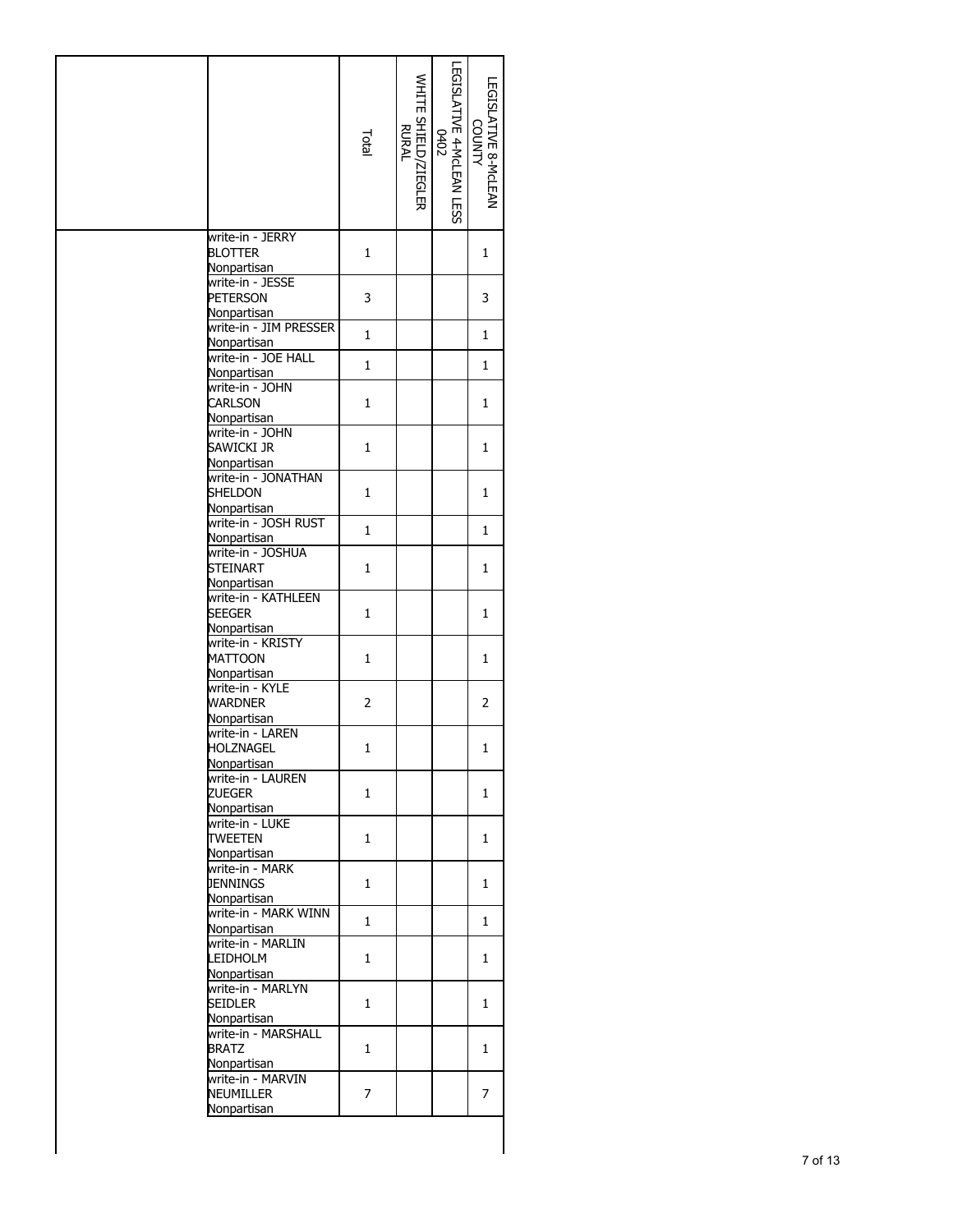|                                                      | Total          | WHITE SHIELD/ZIEGLER<br>RURAL | LEGISLATIVE 4-MCLEAN LESS<br>0402 | LEGISLATIVE 8-McLEAN<br><b>COUNTY</b> |
|------------------------------------------------------|----------------|-------------------------------|-----------------------------------|---------------------------------------|
| write-in - JERRY<br><b>BLOTTER</b><br>Nonpartisan    | 1              |                               |                                   | 1                                     |
| write-in - JESSE<br>PETERSON<br>Nonpartisan          | 3              |                               |                                   | 3                                     |
| write-in - JIM PRESSER<br>Nonpartisan                | $\mathbf 1$    |                               |                                   | 1                                     |
| write-in - JOE HALL<br>Nonpartisan                   | 1              |                               |                                   | 1                                     |
| write-in - JOHN                                      |                |                               |                                   |                                       |
| CARLSON<br>Nonpartisan                               | 1              |                               |                                   | 1                                     |
| write-in - JOHN<br>Sawicki jr<br><b>Nonpartisan</b>  | $\mathbf{1}$   |                               |                                   | 1                                     |
| write-in - JONATHAN<br><b>SHELDON</b><br>Nonpartisan | 1              |                               |                                   | 1                                     |
| write-in - JOSH RUST<br>Nonpartisan                  | $\mathbf{1}$   |                               |                                   | 1                                     |
| write-in - JOSHUA<br><b>STEINART</b><br>Nonpartisan  | 1              |                               |                                   | 1                                     |
| write-in - KATHLEEN<br><b>SEEGER</b><br>Nonpartisan  | $\mathbf{1}$   |                               |                                   | 1                                     |
| write-in - KRISTY<br><b>MATTOON</b><br>Nonpartisan   | 1              |                               |                                   | $\mathbf{1}$                          |
| write-in - KYLE<br><b>WARDNER</b><br>Nonpartisan     | $\overline{2}$ |                               |                                   | 2                                     |
| write-in - LAREN<br>HOLZNAGEL<br>Nonpartisan         | 1              |                               |                                   | 1                                     |
| write-in - LAUREN<br>ZUEGER<br>Nonpartisan           | $\mathbf{1}$   |                               |                                   | 1                                     |
| write-in - LUKE<br><b>TWEETEN</b><br>Nonpartisan     | 1              |                               |                                   | 1                                     |
| write-in - MARK<br><b>JENNINGS</b><br>Nonpartisan    | 1              |                               |                                   | 1                                     |
| write-in - MARK WINN<br>Nonpartisan                  | 1              |                               |                                   | 1                                     |
| write-in - MARLIN<br>LEIDHOLM                        | 1              |                               |                                   | 1                                     |
| Nonpartisan<br>write-in - MARLYN                     |                |                               |                                   |                                       |
| seidler<br>Nonpartisan                               | 1              |                               |                                   | 1                                     |
| write-in - MARSHALL<br><b>BRATZ</b><br>Nonpartisan   | $\mathbf{1}$   |                               |                                   | $\mathbf{1}$                          |
| write-in - MARVIN<br>Neumiller<br>Nonpartisan        | 7              |                               |                                   | 7                                     |

 $\begin{array}{c} \hline \end{array}$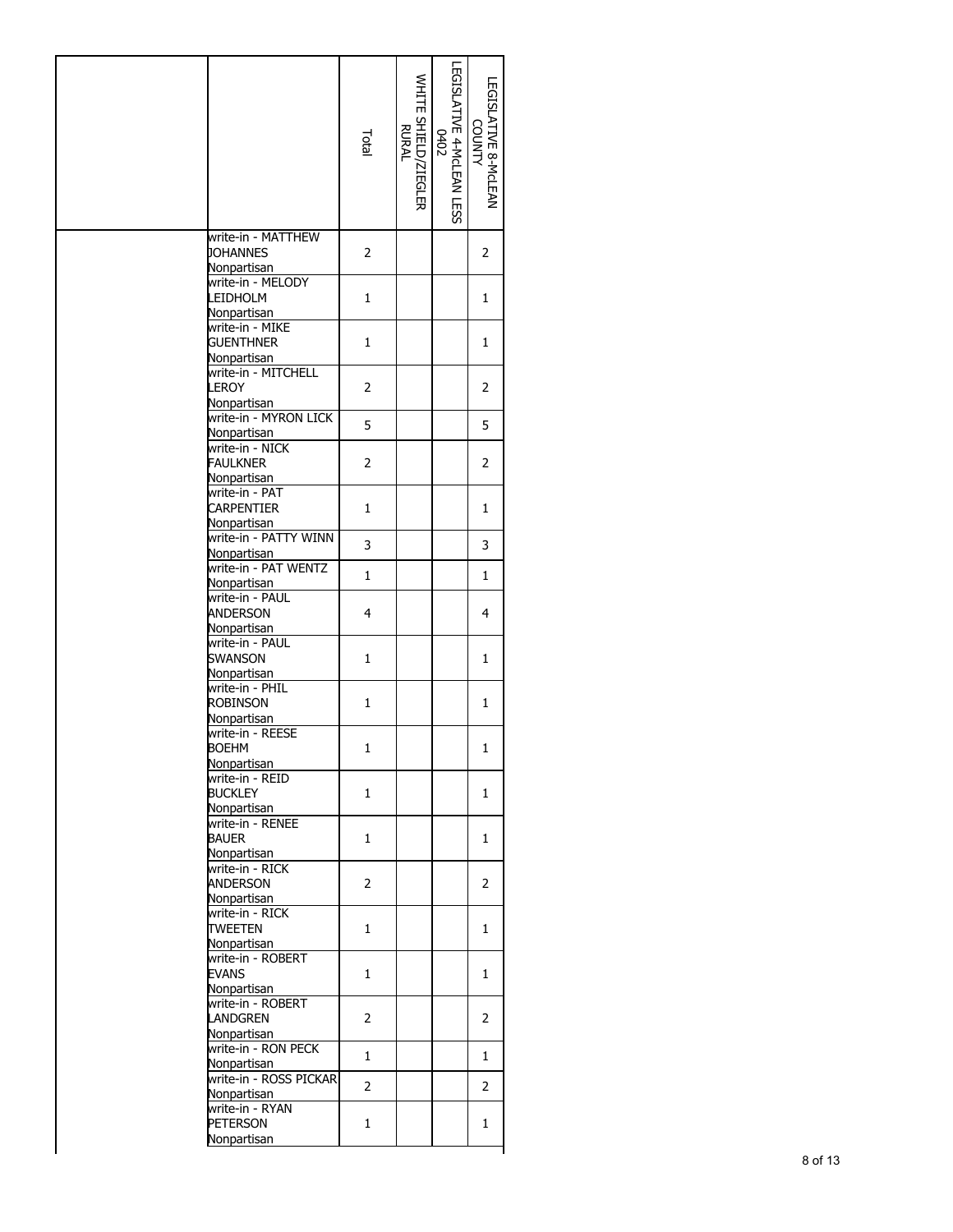|                                                      | Total          | WHITE SHIELD/ZIEGLER<br>RURAL | LEGISLATIVE 8-McLEAN<br><b>COUNTY</b> |  |
|------------------------------------------------------|----------------|-------------------------------|---------------------------------------|--|
| write-in - MATTHEW<br><b>JOHANNES</b><br>Nonpartisan | 2              |                               | 2                                     |  |
| write-in - MELODY<br>LEIDHOLM<br>Nonpartisan         | $\mathbf{1}$   |                               | 1                                     |  |
| write-in - MIKE<br><b>GUENTHNER</b>                  | $\mathbf{1}$   |                               | 1                                     |  |
| Nonpartisan<br>write-in - MITCHELL<br>LEROY          | $\overline{2}$ |                               | $\overline{2}$                        |  |
| Nonpartisan<br>write-in - MYRON LICK<br>Nonpartisan  | 5              |                               | 5                                     |  |
| write-in - NICK<br><b>FAULKNER</b>                   | 2              |                               | $\overline{2}$                        |  |
| Nonpartisan<br>write-in - PAT<br><b>CARPENTIER</b>   | $\mathbf{1}$   |                               | 1                                     |  |
| Nonpartisan<br>write-in - PATTY WINN                 | 3              |                               | 3                                     |  |
| Nonpartisan<br>write-in - PAT WENTZ<br>Nonpartisan   | $\mathbf{1}$   |                               | 1                                     |  |
| write-in - PAUL<br>ANDERSON                          | $\overline{4}$ |                               | 4                                     |  |
| Nonpartisan<br>write-in - PAUL<br><b>SWANSON</b>     | $\mathbf{1}$   |                               | 1                                     |  |
| Nonpartisan<br>write-in - PHIL<br><b>ROBINSON</b>    | $\mathbf{1}$   |                               | 1                                     |  |
| Nonpartisan<br>write-in - REESE                      |                |                               |                                       |  |
| <b>BOEHM</b><br>Nonpartisan                          | 1              |                               | $\mathbf{1}$                          |  |
| write-in - REID<br><b>BUCKLEY</b><br>Nonpartisan     | 1              |                               | 1                                     |  |
| write-in - RENEE<br>BAUER<br>Nonpartisan             | 1              |                               | 1                                     |  |
| write-in - RICK<br>ANDERSON                          | 2              |                               | $\overline{2}$                        |  |
| Nonpartisan<br>write-in - RICK<br><b>TWEETEN</b>     | 1              |                               | 1                                     |  |
| Nonpartisan<br>write-in - ROBERT<br><b>EVANS</b>     | 1              |                               | 1                                     |  |
| Nonpartisan<br>write-in - ROBERT<br><b>LANDGREN</b>  | 2              |                               | 2                                     |  |
| Nonpartisan<br>write-in - RON PECK                   | 1              |                               | 1                                     |  |
| Nonpartisan<br>write-in - ROSS PICKAR                | 2              |                               | 2                                     |  |
| Nonpartisan<br>write-in - RYAN<br><b>PETERSON</b>    | $\mathbf{1}$   |                               | 1                                     |  |
| Nonpartisan                                          |                |                               |                                       |  |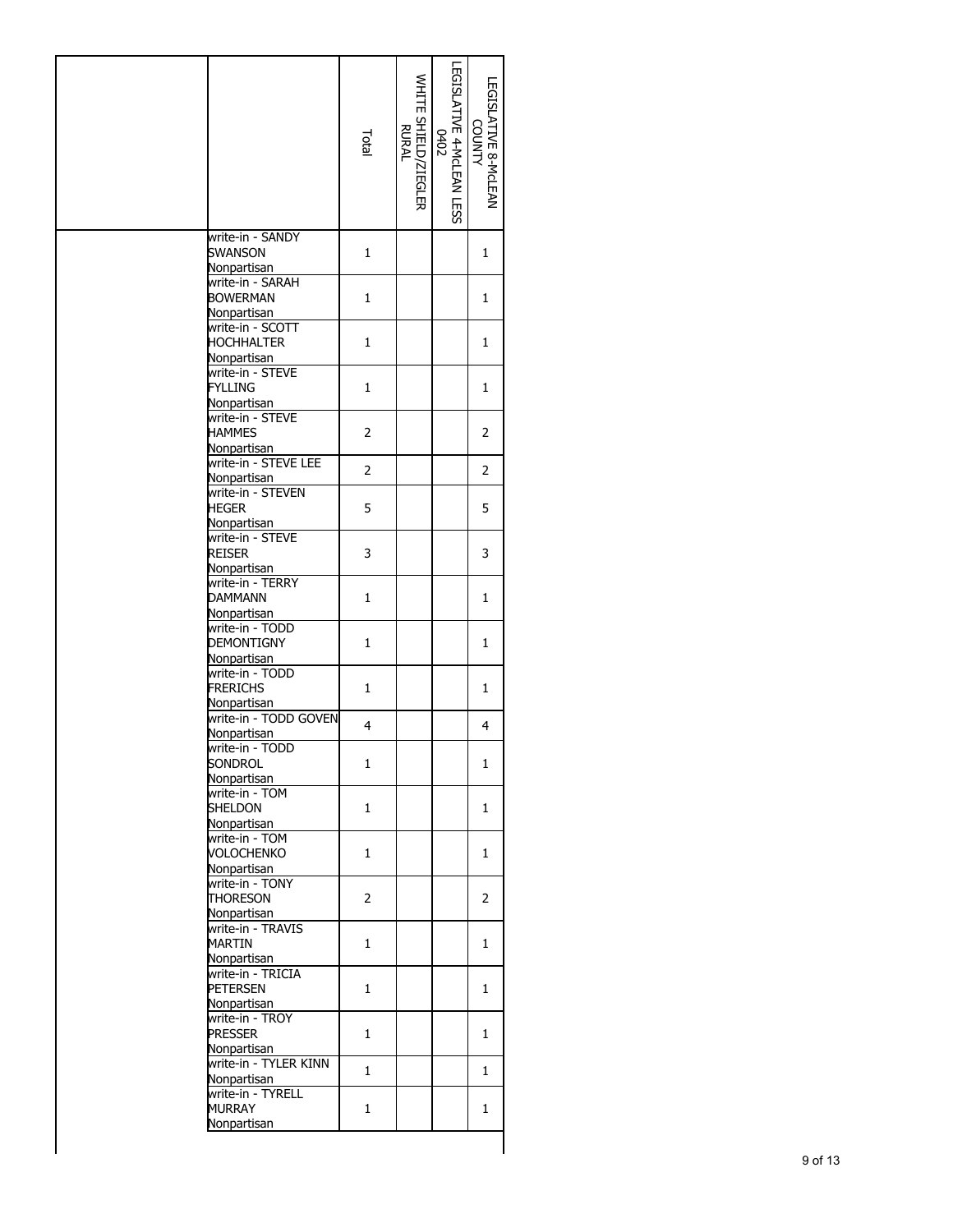|                                                          | Total          | WHITE SHIELD/ZIEGLER<br>RURAL | LEGISLATIVE 4-MCLEAN LESS<br>0402 | LEGISLATIVE 8-MCLEAN<br><b>COUNTY</b> |
|----------------------------------------------------------|----------------|-------------------------------|-----------------------------------|---------------------------------------|
| write-in - SANDY<br><b>SWANSON</b><br>Nonpartisan        | 1              |                               |                                   | 1                                     |
| write-in - SARAH<br><b>BOWERMAN</b><br>Nonpartisan       | 1              |                               |                                   | 1                                     |
| write-in - SCOTT<br><b>HOCHHALTER</b><br>Nonpartisan     | 1              |                               |                                   | 1                                     |
| write-in - STEVE<br><b>FYLLING</b><br><b>Nonpartisan</b> | 1              |                               |                                   | 1                                     |
| write-in - STEVE<br><b>HAMMES</b><br>Nonpartisan         | $\overline{2}$ |                               |                                   | 2                                     |
| write-in - STEVE LEE<br><b>Nonpartisan</b>               | $\overline{2}$ |                               |                                   | 2                                     |
| write-in - STEVEN<br><b>HEGER</b>                        | 5              |                               |                                   | 5                                     |
| Nonpartisan<br>write-in - STEVE<br>reiser<br>Nonpartisan | 3              |                               |                                   | 3                                     |
| write-in - TERRY<br><b>DAMMANN</b><br>Nonpartisan        | 1              |                               |                                   | 1                                     |
| write-in - TODD<br><b>DEMONTIGNY</b><br>Nonpartisan      | $\mathbf{1}$   |                               |                                   | 1                                     |
| write-in - TODD<br>Frerichs<br>Nonpartisan               | 1              |                               |                                   | 1                                     |
| write-in - TODD GOVEN<br>Nonpartisan                     | $\overline{4}$ |                               |                                   | 4                                     |
| write-in - TODD<br><b>SONDROL</b><br>Nonpartisan         | 1              |                               |                                   | 1                                     |
| write-in - TOM<br><b>SHELDON</b><br>Nonpartisan          | $\mathbf{1}$   |                               |                                   | 1                                     |
| write-in - TOM<br><b>VOLOCHENKO</b><br>Nonpartisan       | 1              |                               |                                   | 1                                     |
| write-in - TONY<br><b>THORESON</b><br>Nonpartisan        | 2              |                               |                                   | 2                                     |
| write-in - TRAVIS<br>MARTIN<br>Nonpartisan               | 1              |                               |                                   | 1                                     |
| write-in - TRICIA<br><b>PETERSEN</b>                     | 1              |                               |                                   | 1                                     |
| Nonpartisan<br>write-in - TROY<br><b>PRESSER</b>         | 1              |                               |                                   | 1                                     |
| Nonpartisan<br>write-in - TYLER KINN<br>Nonpartisan      | 1              |                               |                                   | 1                                     |
| write-in - TYRELL<br><b>MURRAY</b><br>Nonpartisan        | 1              |                               |                                   | 1                                     |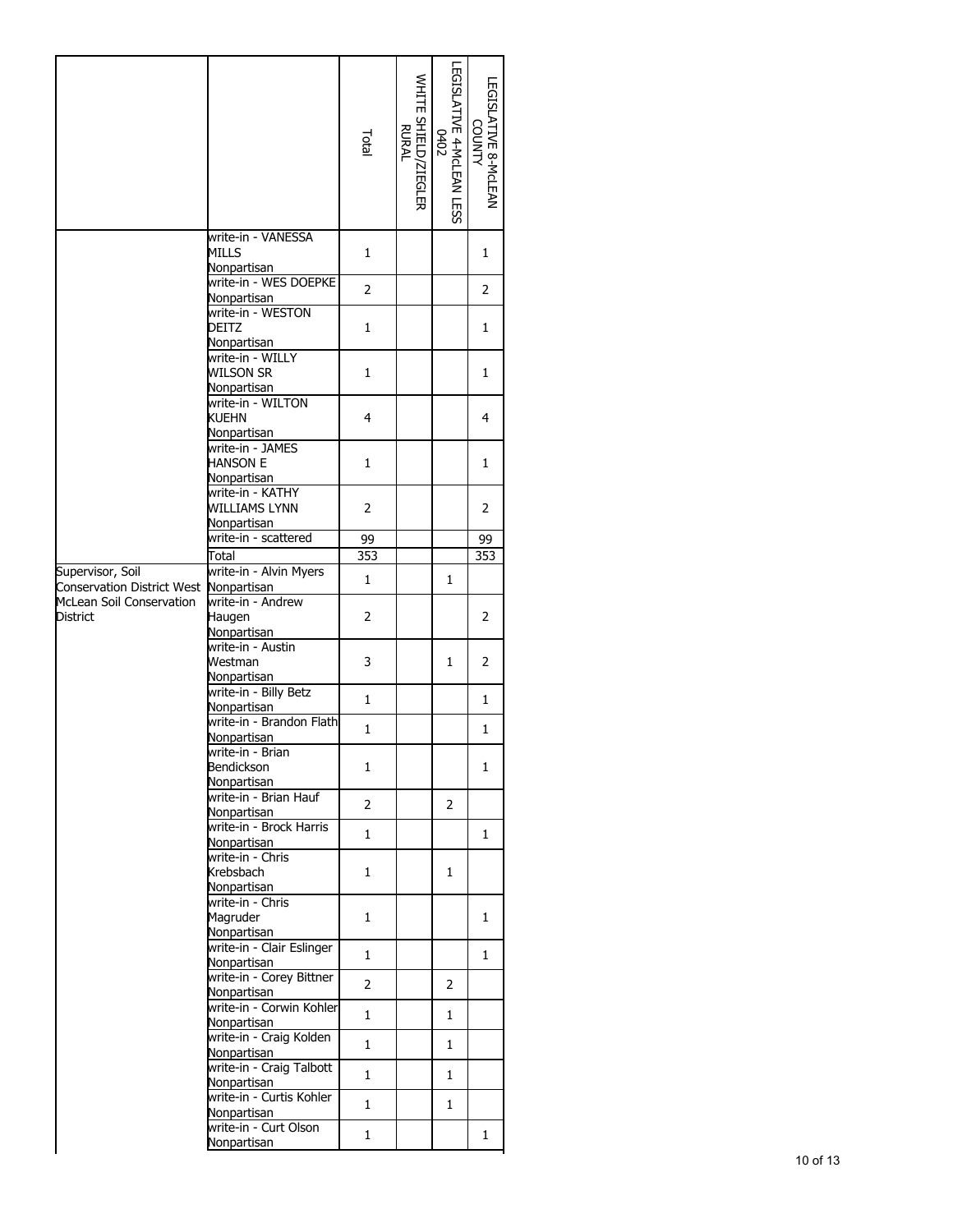|                                                            |                                                     | Total                 | WHITE SHIELD/ZIEGLER<br>RURAL | LEGISLATIVE 4-MCLEAN LESS<br>0402<br>0402 | LEGISLATIVE 8-McLEAN<br><b>UNITY</b> |
|------------------------------------------------------------|-----------------------------------------------------|-----------------------|-------------------------------|-------------------------------------------|--------------------------------------|
|                                                            | write-in - VANESSA<br>MILLS<br>Nonpartisan          | 1                     |                               |                                           | 1                                    |
|                                                            | write-in - WES DOEPKE<br>Nonpartisan                | $\overline{2}$        |                               |                                           | $\overline{2}$                       |
|                                                            | write-in - WESTON<br>DEITZ<br>Nonpartisan           | 1                     |                               |                                           | 1                                    |
|                                                            | write-in - WILLY<br><b>WILSON SR</b><br>Nonpartisan | 1                     |                               |                                           | 1                                    |
|                                                            | write-in - WILTON<br>KUEHN<br>Nonpartisan           | 4                     |                               |                                           | 4                                    |
|                                                            | write-in - JAMES<br><b>HANSON E</b><br>Nonpartisan  | 1                     |                               |                                           | 1                                    |
|                                                            | write-in - KATHY<br>WILLIAMS LYNN<br>Nonpartisan    | 2                     |                               |                                           | 2                                    |
|                                                            | write-in - scattered                                | 99                    |                               |                                           | 99                                   |
|                                                            | Total                                               | $\overline{353}$      |                               |                                           | 353                                  |
| Supervisor, Soil<br>Conservation District West Nonpartisan | write-in - Alvin Myers                              | 1                     |                               | 1                                         |                                      |
| McLean Soil Conservation<br><b>District</b>                | write-in - Andrew<br>Haugen<br>Nonpartisan          | $\overline{2}$        |                               |                                           | 2                                    |
|                                                            | write-in - Austin<br>Westman<br>Nonpartisan         | 3                     |                               | $\mathbf{1}$                              | 2                                    |
|                                                            | write-in - Billy Betz<br>Nonpartisan                | $\mathbf{1}$          |                               |                                           | 1                                    |
|                                                            | write-in - Brandon Flath<br>Nonpartisan             | 1                     |                               |                                           | 1                                    |
|                                                            | write-in - Brian<br>Bendickson<br>Nonpartisan       | 1                     |                               |                                           | 1                                    |
|                                                            | write-in - Brian Hauf<br>Nonpartisan                | $\mathbf{2}^{\prime}$ |                               | 2                                         |                                      |
|                                                            | write-in - Brock Harris<br>Nonpartisan              | $\mathbf{1}$          |                               |                                           | $\mathbf{1}$                         |
|                                                            | write-in - Chris<br>Krebsbach<br>Nonpartisan        | $\mathbf{1}$          |                               | $\mathbf{1}$                              |                                      |
|                                                            | write-in - Chris<br>Magruder<br>Nonpartisan         | 1                     |                               |                                           | 1                                    |
|                                                            | write-in - Clair Eslinger<br>Nonpartisan            | 1                     |                               |                                           | 1                                    |
|                                                            | write-in - Corey Bittner<br>Nonpartisan             | $\overline{2}$        |                               | 2                                         |                                      |
|                                                            | write-in - Corwin Kohler<br>Nonpartisan             | $\mathbf{1}$          |                               | $\mathbf{1}$                              |                                      |
|                                                            | write-in - Craig Kolden<br>Nonpartisan              | $\mathbf{1}$          |                               | $\mathbf{1}$                              |                                      |
|                                                            | write-in - Craig Talbott<br>Nonpartisan             | $\mathbf{1}$          |                               | $\mathbf{1}$                              |                                      |
|                                                            | write-in - Curtis Kohler                            |                       |                               |                                           |                                      |
|                                                            | Nonpartisan                                         | $\mathbf{1}$          |                               | 1                                         |                                      |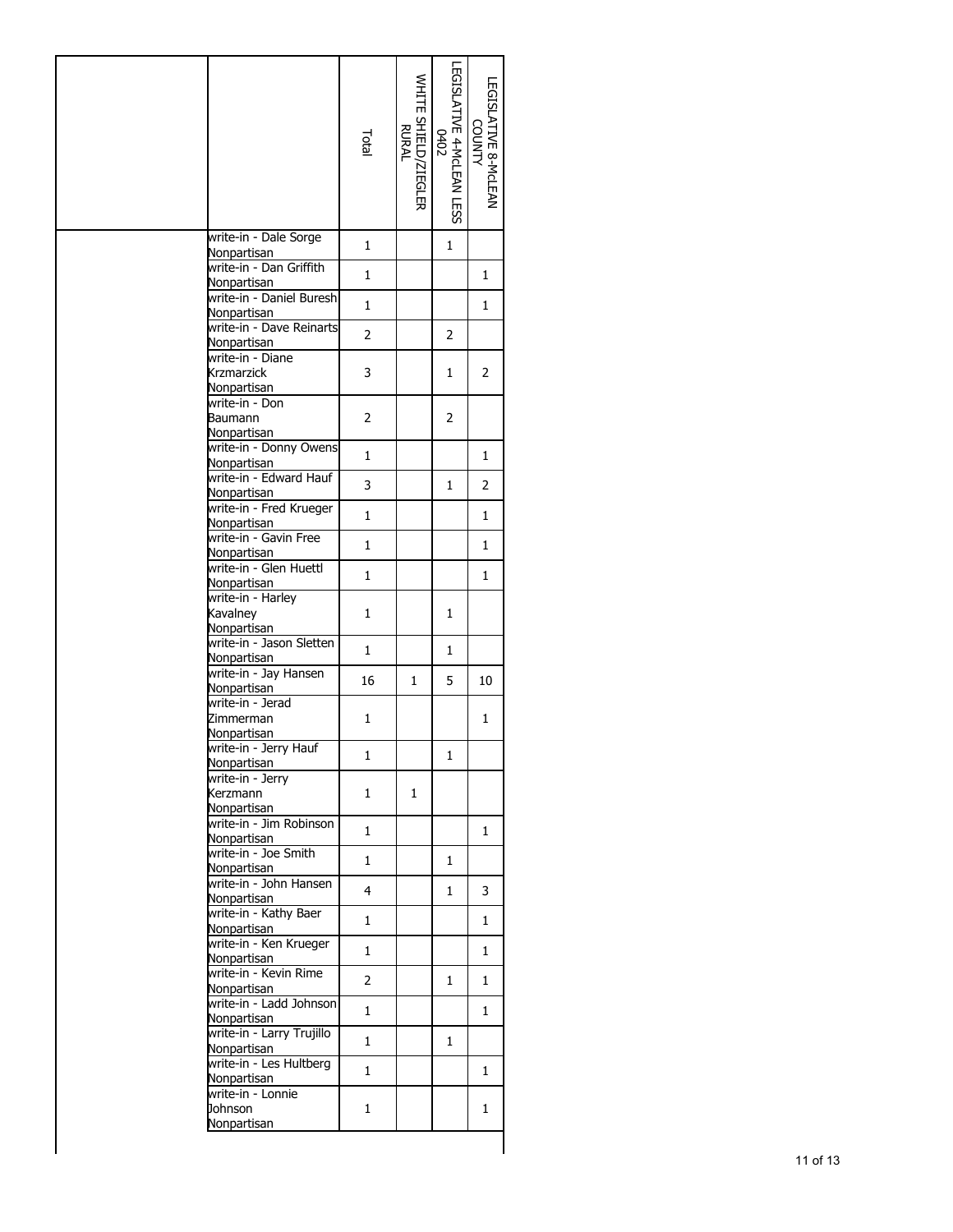|                                               | Total          | WHITE SHIELD/ZIEGLER<br>RURAL | LEGISLATIVE 4-MCLEAN LESS<br>0402 | LEGISLATIVE 8-McLEAN<br><b>COUNTY</b> |
|-----------------------------------------------|----------------|-------------------------------|-----------------------------------|---------------------------------------|
| write-in - Dale Sorge<br>Nonpartisan          | 1              |                               | 1                                 |                                       |
| write-in - Dan Griffith                       | $\mathbf{1}$   |                               |                                   | 1                                     |
| Nonpartisan<br>write-in - Daniel Buresh       | $\mathbf{1}$   |                               |                                   | 1                                     |
| Nonpartisan<br>write-in - Dave Reinarts       |                |                               |                                   |                                       |
| Nonpartisan                                   | $\overline{2}$ |                               | 2                                 |                                       |
| write-in - Diane<br>Krzmarzick<br>Nonpartisan | 3              |                               | 1                                 | 2                                     |
| write-in - Don<br>Baumann                     | 2              |                               | $\overline{2}$                    |                                       |
| Nonpartisan<br>write-in - Donny Owens         |                |                               |                                   |                                       |
| Nonpartisan                                   | $\mathbf{1}$   |                               |                                   | 1                                     |
| write-in - Edward Hauf<br>Nonpartisan         | 3              |                               | 1                                 | 2                                     |
| write-in - Fred Krueger<br>Nonpartisan        | 1              |                               |                                   | 1                                     |
| write-in - Gavin Free                         | 1              |                               |                                   | 1                                     |
| Nonpartisan<br>write-in - Glen Huettl         | $\mathbf{1}$   |                               |                                   | 1                                     |
| Nonpartisan<br>write-in - Harley              |                |                               |                                   |                                       |
| Kavalney<br>Nonpartisan                       | 1              |                               | 1                                 |                                       |
| write-in - Jason Sletten<br>Nonpartisan       | $\mathbf{1}$   |                               | 1                                 |                                       |
| write-in - Jay Hansen                         | 16             | 1                             | 5                                 | 10                                    |
| Nonpartisan<br>write-in - Jerad               |                |                               |                                   |                                       |
| Zimmerman<br>Nonpartisan                      | 1              |                               |                                   | 1                                     |
| write-in - Jerry Hauf<br>Nonpartisan          | $\mathbf{1}$   |                               | 1                                 |                                       |
| write-in - Jerry<br>Kerzmann                  | 1              | 1                             |                                   |                                       |
| Nonpartisan<br>write-in - Jim Robinson        |                |                               |                                   |                                       |
| Nonpartisan                                   | $\mathbf{1}$   |                               |                                   | 1                                     |
| write-in - Joe Smith<br>Nonpartisan           | $\mathbf{1}$   |                               | 1                                 |                                       |
| write-in - John Hansen                        | 4              |                               | 1                                 | 3                                     |
| Nonpartisan<br>write-in - Kathy Baer          | 1              |                               |                                   |                                       |
| Nonpartisan<br>write-in - Ken Krueger         |                |                               |                                   | 1                                     |
| Nonpartisan                                   | $\mathbf{1}$   |                               |                                   | 1                                     |
| write-in - Kevin Rime<br>Nonpartisan          | $\overline{2}$ |                               | 1                                 | 1                                     |
| write-in - Ladd Johnson                       | $\mathbf{1}$   |                               |                                   | 1                                     |
| Nonpartisan<br>write-in - Larry Trujillo      |                |                               |                                   |                                       |
| Nonpartisan<br>write-in - Les Hultberg        | $\mathbf{1}$   |                               | 1                                 |                                       |
| Nonpartisan                                   | $\mathbf{1}$   |                               |                                   | 1                                     |
| write-in - Lonnie<br>Johnson<br>Nonpartisan   | 1              |                               |                                   | 1                                     |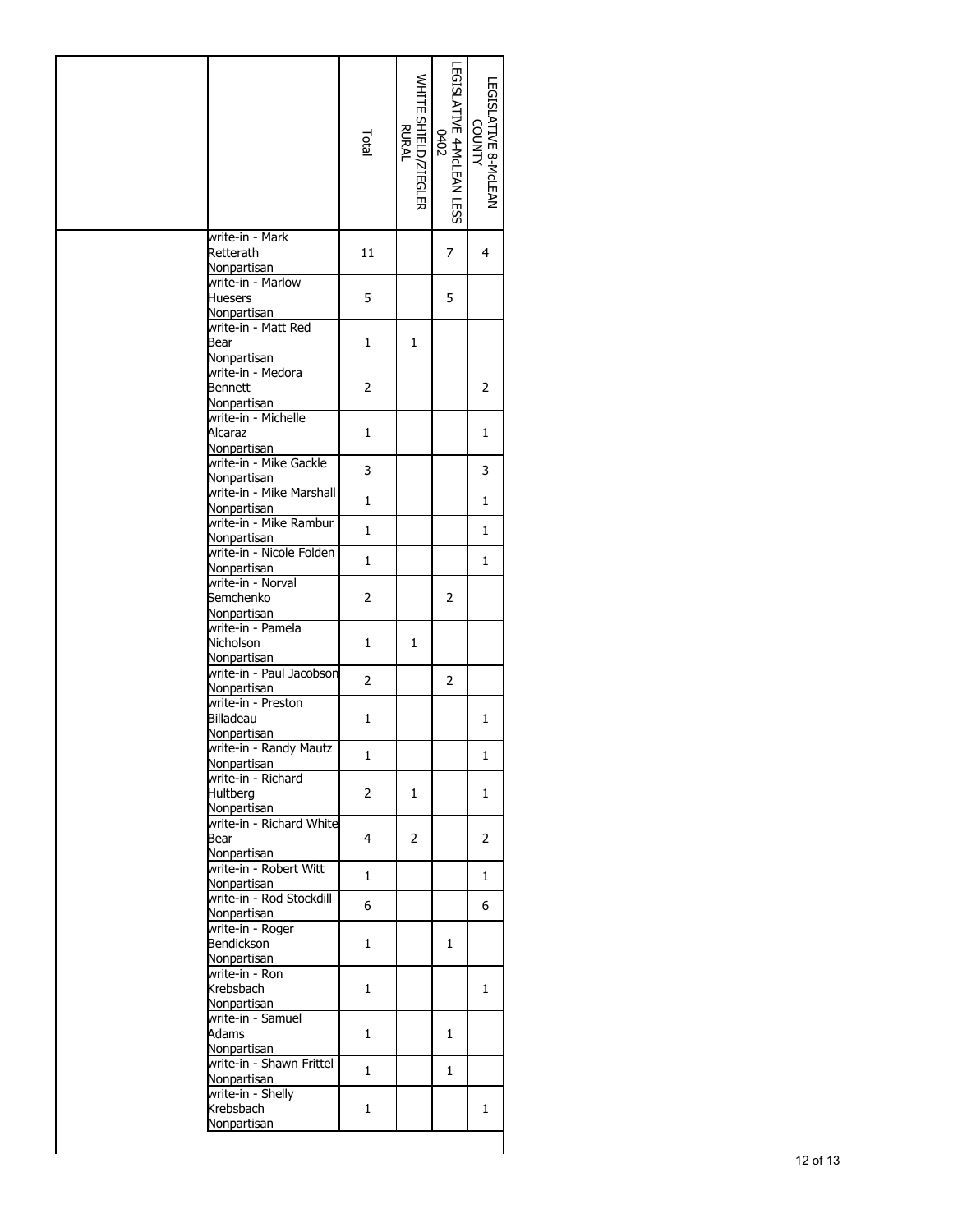|                                                            | Total          | WHITE SHIELD/ZIEGLER<br>RURAL | LEGISLATIVE 4-MCLEAN LESS<br>0402<br>0402 | LEGISLATIVE 8-McLEAN<br><b>VTMUO</b> |
|------------------------------------------------------------|----------------|-------------------------------|-------------------------------------------|--------------------------------------|
| write-in - Mark<br>Retterath<br>Nonpartisan                | 11             |                               | 7                                         | 4                                    |
| write-in - Marlow<br><b>Huesers</b><br>Nonpartisan         | 5              |                               | 5                                         |                                      |
| write-in - Matt Red<br>Bear                                | 1              | 1                             |                                           |                                      |
| Nonpartisan<br>write-in - Medora<br>Bennett<br>Nonpartisan | $\overline{2}$ |                               |                                           | 2                                    |
| write-in - Michelle<br>Alcaraz<br>Nonpartisan              | 1              |                               |                                           | 1                                    |
| write-in - Mike Gackle<br>Nonpartisan                      | 3              |                               |                                           | 3                                    |
| write-in - Mike Marshall<br>Nonpartisan                    | $\mathbf{1}$   |                               |                                           | $\mathbf{1}$                         |
| write-in - Mike Rambur<br>Nonpartisan                      | $\mathbf{1}$   |                               |                                           | 1                                    |
| write-in - Nicole Folden<br>Nonpartisan                    | 1              |                               |                                           | 1                                    |
| write-in - Norval<br>Semchenko<br>Nonpartisan              | $\overline{2}$ |                               | $\overline{2}$                            |                                      |
| write-in - Pamela<br>Nicholson<br>Nonpartisan              | 1              | 1                             |                                           |                                      |
| write-in - Paul Jacobson<br>Nonpartisan                    | $\overline{2}$ |                               | 2                                         |                                      |
| write-in - Preston<br>Billadeau<br>Nonpartisan             | 1              |                               |                                           | 1                                    |
| write-in - Randy Mautz<br>Nonpartisan                      | $\mathbf 1$    |                               |                                           | $\mathbf{1}$                         |
| write-in - Richard<br>Hultberg<br>Nonpartisan              | 2              | 1                             |                                           | 1                                    |
| write-in - Richard White<br>Bear<br>Nonpartisan            | 4              | 2                             |                                           | 2                                    |
| write-in - Robert Witt<br>Nonpartisan                      | 1              |                               |                                           | $\mathbf{1}$                         |
| write-in - Rod Stockdill<br>Nonpartisan                    | 6              |                               |                                           | 6                                    |
| write-in - Roger<br>Bendickson<br>Nonpartisan              | 1              |                               | 1                                         |                                      |
| write-in - Ron<br>Krebsbach<br>Nonpartisan                 | 1              |                               |                                           | 1                                    |
| write-in - Samuel<br>Adams<br>Nonpartisan                  | 1              |                               | 1                                         |                                      |
| write-in - Shawn Frittel<br>Nonpartisan                    | 1              |                               | 1                                         |                                      |
| write-in - Shelly<br>Krebsbach<br>Nonpartisan              | 1              |                               |                                           | 1                                    |